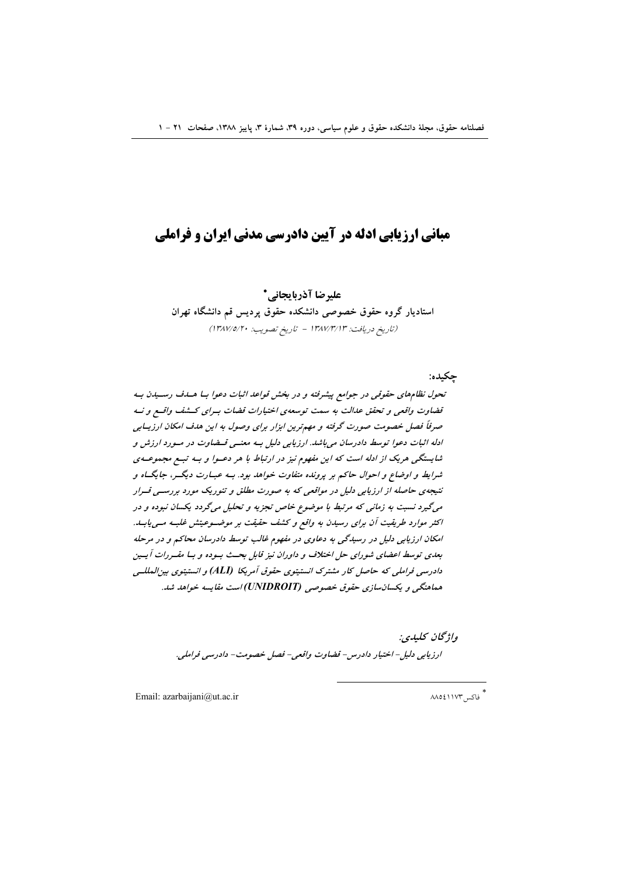# **مبانی ارزیابی ادله در آیین دادرسی مدنی ایران و فراملی**

عليرضا آذرياتحاني\*

استادیار گروه حقوق خصوصی دانشکده حقوق پردیس قم دانشگاه تهران (تاريخ دريافت: ١٣٨٧/٣/١٣ - تاريخ تصويب: ١٣٨٧/٥/٢٠)

جكىدە:

تحول نظامهای حقوقی در جوامع پیشرفته و در بخش قواعد اثبات دعوا بـا هـدف رسـيدن بـه قضاوت واقعی و تحقق عدالت به سمت توسعهی اختیارات قضات بسرای کـشف واقسع و نـه صرفاً فصل خصومت صورت گرفته و مهمترین ابزار برای وصول به این هدف امکان ارزیـابی ادله اثبات دعوا توسط دادرسان میباشد. ارزیابی دلیل بـه معنــی قــضاوت در مــورد ارزش و شایستگی هریک از ادله است که این مفهوم نیز در ارتباط با هر دعوا و بـه تبـع مجموعـهى شرایط و اوضاع و احوال حاکم بر پرونده متفاوت خواهد بود. بـه عبـارت دیگـر، جایگــاه و نتیجهی حاصله از ارزیابی دلیل در مواقعی که به صورت مطلق و تئوریک مورد بررستی قسرار می گیرد نسبت به زمانی که مرتبط با موضوع خاص تجزیه و تحلیل می گردد یکسان نبوده و در اکثر موارد طریقیت آن برای رسیدن به واقع و کشف حقیقت بر موضـوعیتش غلبـه مـی!بـد. امکان ارزیابی دلیل در رسیدگی به دعاوی در مفهوم غالب توسط دادرسان محاکم و در مرحله بعدی توسط اعضای شورای حل اختلاف و داوران نیز قابل بحـث بـوده و بـا مقـررات آیـین دادرسی فراملی که حاصل کار مشترک انستیتوی حقوق آمریکا (ALI) و انستیتوی بین المللے هماهنگی و یکسان سازی حقوق خصوصی (UNIDROIT) است مقایسه خواهد شد.

> واۋىچان كىلىدى: ارزيابي دليل- اختيار دادرس- قضاوت واقعي- فصل خصومت- دادرسي فراملي.

Email: azarbaijani@ut.ac.ir

\*<br>" فاكس ٨٨٥٤١١٧٣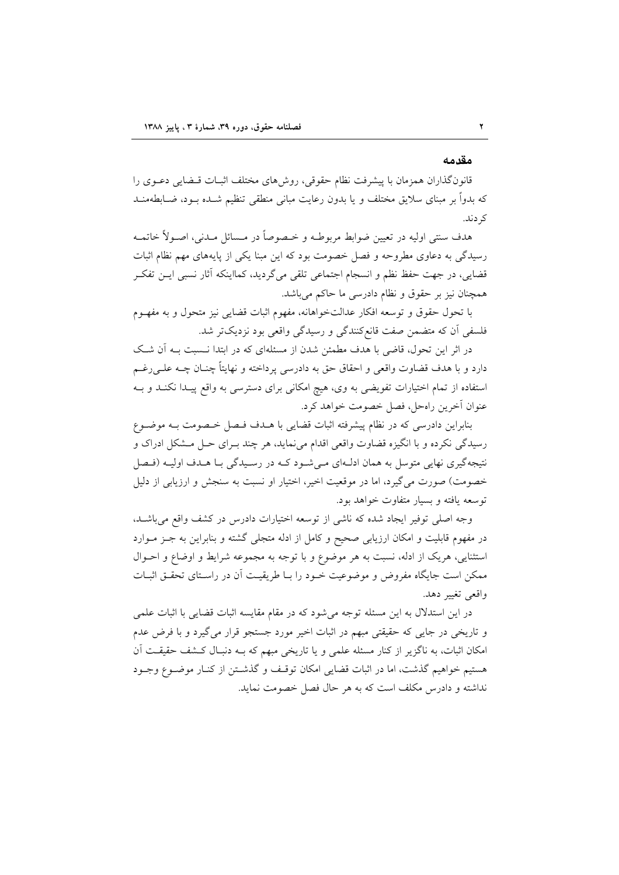#### مقدمه

قانونگذاران همزمان با پیشرفت نظام حقوقی، روش۵ای مختلف اثبـات قـضایی دعـوی را که بدواً بر مبنای سلایق مختلف و یا بدون رعایت مبانی منطقی تنظیم شــده بــود، ضــابطهمنــد کر دند.

هدف سنتي اوليه در تعيين ضوابط مربوطـه و خـصوصاً در مـسائل مـدني، اصـولاً خاتمـه رسیدگی به دعاوی مطروحه و فصل خصومت بود که این مبنا یکی از پایههای مهم نظام اثبات قضایی، در جهت حفظ نظم و انسجام اجتماعی تلقی میگردید، کمااینکه آثار نسبی ایــن تفکــر همچنان نیز بر حقوق و نظام دادرسی ما حاکم می باشد.

با تحول حقوق و توسعه افكار عدالتخواهانه، مفهوم اثبات قضايي نيز متحول و به مفهــوم فلسفی اّن که متضمن صفت قانعکنندگی و رسیدگی واقعی بود نزدیکتر شد.

در اثر این تحول، قاضی با هدف مطمئن شدن از مسئلهای که در ابتدا نـسبت بـه آن شـک دارد و با هدف قضاوت واقعی و احقاق حق به دادرسی پرداخته و نهایتاً چنــان چــه علــی(غــم استفاده از تمام اختیارات تفویضی به وی، هیچ امکانی برای دسترسی به واقع پیـدا نکنـد و بـه عنوان آخرين راهحل، فصل خصومت خواهد كرد.

بنابراین دادرسی که در نظام پیشرفته اثبات قضایی با هـدف فـصل خـصومت بـه موضـوع رسیدگی نکرده و با انگیزه قضاوت واقعی اقدام می نماید، هر چند بـرای حـل مــشکل ادراک و نتیجهگیری نهایی متوسل به همان ادلـهای مـیشـود کـه در رسـیدگی بـا هـدف اولیـه (فـصل خصومت) صورت می گیرد، اما در موقعیت اخیر، اختیار او نسبت به سنجش و ارزیابی از دلیل توسعه یافته و بسیار متفاوت خواهد بود.

وجه اصلی توفیر ایجاد شده که ناشی از توسعه اختیارات دادرس در کشف واقع میباشد. در مفهوم قابلیت و امکان ارزیابی صحیح و کامل از ادله متجلی گشته و بنابراین به جـز مـوارد استثنایی، هریک از ادله، نسبت به هر موضوع و با توجه به مجموعه شرایط و اوضاع و احـوال ممکن است جایگاه مفروض و موضوعیت خـود را بـا طریقیـت آن در راسـتای تحقـق اثبـات واقعي تغيير دهد.

در این استدلال به این مسئله توجه می شود که در مقام مقایسه اثبات قضایی با اثبات علمی و تاریخی در جایی که حقیقتی مبهم در اثبات اخیر مورد جستجو قرار میگیرد و با فرض عدم امکان اثبات، به ناگزیر از کنار مسئله علمی و یا تاریخی مبهم که بـه دنبـال کـشف حقیقـت اَن هستیم خواهیم گذشت، اما در اثبات قضایی امکان توقـف و گذشــتن از کنــار موضــوع وجــود نداشته و دادرس مکلف است که به هر حال فصل خصومت نماید.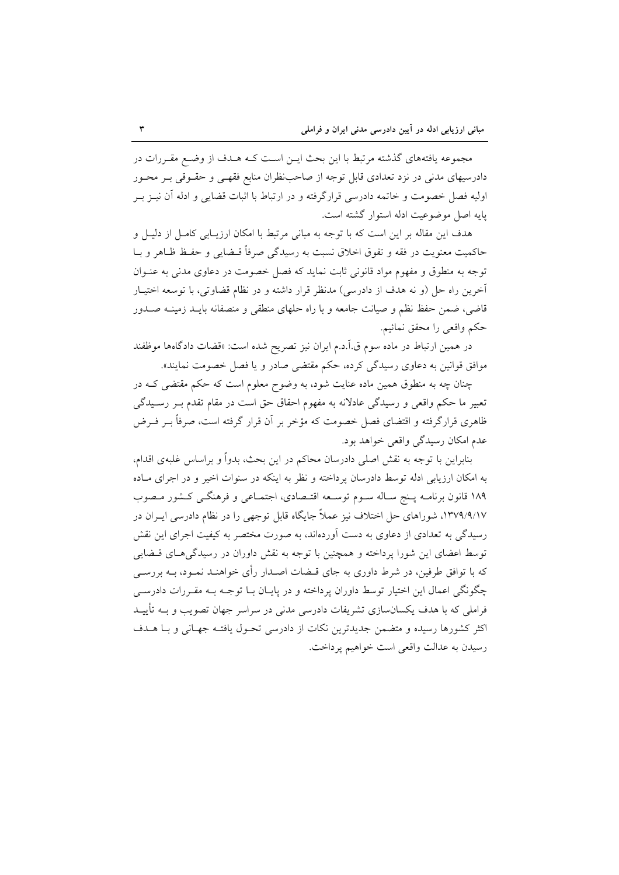مجموعه یافتههای گذشته مرتبط با این بحث ایـن اسـت کـه هـدف از وضـع مقـررات در دادرسیهای مدنی در نزد تعدادی قابل توجه از صاحب نظران منابع فقهـی و حقـوقی بـر محـور اولیه فصل خصومت و خاتمه دادرسی قرارگرفته و در ارتباط با اثبات قضایی و ادله آن نیــز بــر يايه اصل موضوعيت ادله استوار گشته است.

هدف این مقاله بر این است که با توجه به مبانی مرتبط با امکان ارزیـابی کامـل از دلیـل و حاكميت معنويت در فقه و تفوق اخلاق نسبت به رسيدگي صرفاً قـضايي و حفـظ ظـاهر و بــا توجه به منطوق و مفهوم مواد قانونی ثابت نماید که فصل خصومت در دعاوی مدنی به عنـوان آخرین راه حل (و نه هدف از دادرسی) مدنظر قرار داشته و در نظام قضاوتی، با توسعه اختیـار قاضی، ضمن حفظ نظم و صیانت جامعه و با راه حلهای منطقی و منصفانه بایــد زمینــه صــدور حكم واقعي را محقق نمائيم.

در همین ارتباط در ماده سوم ق.آ.د.م ایران نیز تصریح شده است: «قضات دادگاهها موظفند موافق قوانین به دعاوی رسیدگی کرده، حکم مقتضی صادر و یا فصل خصومت نمایند».

چنان چه به منطوق همین ماده عنایت شود، به وضوح معلوم است که حکم مقتضی کـه در تعبیر ما حکم واقعی و رسیدگی عادلانه به مفهوم احقاق حق است در مقام تقدم بـر رسـیدگی ظاهری قرارگرفته و اقتضای فصل خصومت که مؤخر بر آن قرار گرفته است، صرفاً بــر فــرض عدم امکان رسیدگی واقعی خواهد بود.

بنابراین با توجه به نقش اصلی دادرسان محاکم در این بحث، بدواً و براساس غلبهی اقدام، به امکان ارزیابی ادله توسط دادرسان پرداخته و نظر به اینکه در سنوات اخیر و در اجرای مـاده ١٨٩ قانون برنامـه پـنج سـاله سـوم توسـعه اقتـصادي، اجتمـاعي و فرهنگـي كـشور مـصوب ۱۳۷۹/۹/۱۷، شوراهای حل اختلاف نیز عملاً جایگاه قابل توجهی را در نظام دادرسی ایــران در رسیدگی به تعدادی از دعاوی به دست آوردهاند، به صورت مختصر به کیفیت اجرای این نقش توسط اعضای این شورا پرداخته و همچنین با توجه به نقش داوران در رسیدگی هـای قــضایی که با توافق طرفین، در شرط داوری به جای قـضات اصـدار رأی خواهنـد نمـود، بــه بررسـی چگونگی اعمال این اختیار توسط داوران پرداخته و در پایـان بــا توجــه بــه مقــررات دادرســـ ٍ فراملی که با هدف یکسانسازی تشریفات دادرسی مدنی در سراسر جهان تصویب و بــه تأییــد اکثر کشورها رسیده و متضمن جدیدترین نکات از دادرسی تحـول یافتـه جهـانی و بـا هــدف رسيدن به عدالت واقعي است خواهيم يرداخت.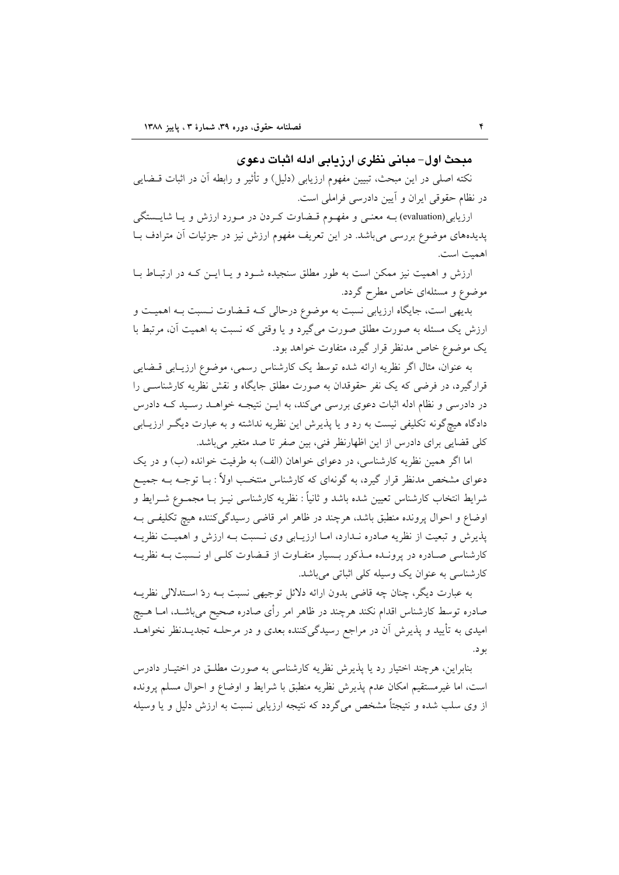## مدحث اول– میانی نظری ارز بابی ادله اثبات دعوی

نکته اصلی در این مبحث، تبیین مفهوم ارزیابی (دلیل) و تأثیر و رابطه آن در اثبات قــضایی در نظام حقوقی ایران و آیین دادرسی فراملی است.

ارزیابی(evaluation) بـه معنـی و مفهـوم قـضاوت کـردن در مـورد ارزش و يـا شايــستگى پدیدههای موضوع بررسی میباشد. در این تعریف مفهوم ارزش نیز در جزئیات آن مترادف بـا اهمت است.

ارزش و اهمیت نیز ممکن است به طور مطلق سنجیده شـود و یـا ایـن کـه در ارتبـاط بـا موضوع و مسئلهای خاص مطرح گردد.

بدیهی است، جایگاه ارزیابی نسبت به موضوع درحالی کـه قـضاوت نـسبت بـه اهمیـت و ارزش یک مسئله به صورت مطلق صورت میگیرد و یا وقتی که نسبت به اهمیت آن، مرتبط با یک موضوع خاص مدنظر قرار گیرد، متفاوت خواهد بود.

به عنوان، مثال اگر نظریه ارائه شده توسط یک کارشناس رسمی، موضوع ارزیبابی قبضایی قرارگیرد، در فرضی که یک نفر حقوقدان به صورت مطلق جایگاه و نقش نظریه کارشناسـی را در دادرسی و نظام ادله اثبات دعوی بررسی میکند، به ایــن نتیجــه خواهــد رسـید کــه دادرس دادگاه هیچگونه تکلیفی نیست به رد و یا پذیرش این نظریه نداشته و به عبارت دیگـر ارزیـابی كلَّى قضايي براي دادرس از اين اظهارنظر فني، بين صفر تا صد متغير مي باشد.

اما اگر همین نظریه کارشناسی، در دعوای خواهان (الف) به طرفیت خوانده (ب) و در یک دعوای مشخص مدنظر قرار گیرد، به گونهای که کارشناس منتخب اولاً : بــا توجــه بــه جمیــع شرايط انتخاب كارشناس تعيين شده باشد و ثانياً : نظريه كارشناسي نيـز بــا مجمــوع شــرايط و اوضاع و احوال پرونده منطبق باشد، هرچند در ظاهر امر قاضی رسیدگی کننده هیچ تکلیفی بـه پذیرش و تبعیت از نظریه صادره نـدارد، امــا ارزیــابی وی نـسبت بــه ارزش و اهمیــت نظریــه کارشناسی صادره در پرونـده مـذکور بـسیار متفـاوت از قـضاوت کلـی او نـسبت بـه نظریـه کارشناسی به عنوان یک وسیله کلی اثباتی می باشد.

به عبارت دیگر، چنان چه قاضی بدون ارائه دلائل توجیهی نسبت بـه ردّ اسـتدلالی نظریــه صادره توسط کارشناس اقدام نکند هرچند در ظاهر امر رأی صادره صحیح میباشــد، امــا هــیچ امیدی به تأیید و پذیرش آن در مراجع رسیدگیکننده بعدی و در مرحلـه تجدیــدنظر نخواهــد بو د.

بنابراین، هرچند اختیار رد یا پذیرش نظریه کارشناسی به صورت مطلـق در اختیـار دادرس است، اما غيرمستقيم امكان عدم پذيرش نظريه منطبق با شرايط و اوضاع و احوال مسلم پرونده از وی سلب شده و نتیجتاً مشخص میگردد که نتیجه ارزیابی نسبت به ارزش دلیل و یا وسیله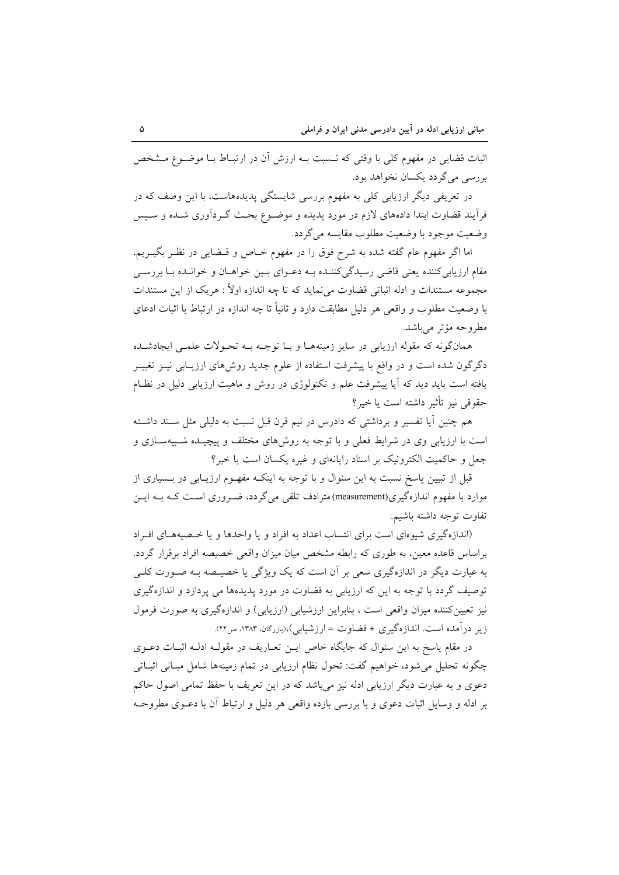اثبات قضایی در مفهوم کلی با وقتی که نـسبت بـه ارزش آن در ارتبـاط بـا موضـوع مـشخص بررسي مي گردد پکسان نخواهد بود.

در تعریفی دیگر ارزیابی کلی به مفهوم بررسی شایستگی پدیدههاست، با این وصف که در فرآیند قضاوت ابتدا دادههای لازم در مورد پدیده و موضـوع بحـث گـردآوری شـده و سـپس وضعيت موجود با وضعيت مطلوب مقايسه مي گردد.

اما اگر مفهوم عام گفته شده به شرح فوق را در مفهوم خـاص و قـضایی در نظـر بگیــریم، مقام ارزیابی کننده یعنی قاضی رسیدگی کننـده بـه دعـوای بـین خواهـان و خوانـده بـا بررسـی مجموعه مستندات و ادله اثباتی قضاوت می نماید که تا چه اندازه اولاً : هریک از این مستندات با وضعیت مطلوب و واقعی هر دلیل مطابقت دارد و ثانیاً تا چه اندازه در ارتباط با اثبات ادعای مطروحه مؤثر مي باشد.

همانگونه که مقوله ارزیابی در سایر زمینههـا و بـا توجـه بـه تحـولات علمـی ایجادشـده دگرگون شده است و در واقع با پیشرفت استفاده از علوم جدید روشهای ارزیـابی نیــز تغییــر یافته است باید دید که آیا پیشرفت علم و تکنولوژی در روش و ماهیت ارزیابی دلیل در نظـام حقوقي نيز تأثير داشته است يا خير؟

هم چنین آیا تفسیر و برداشتی که دادرس در نیم قرن قبل نسبت به دلیلی مثل سـند داشـته است با ارزیابی وی در شرایط فعلی و با توجه به روشهای مختلف و پیچیـده شـبیهسـازی و جعل و حاکمیت الکترونیک بر اسناد رایانهای و غیره یکسان است یا خیر؟

قبل از تبیین پاسخ نسبت به این سئوال و با توجه به اینکـه مفهـوم ارزیـابی در بــسیاری از موارد با مفهوم اندازهگیری(measurement) مترادف تلقی می گردد، ضـروری اسـت کـه بـه ایـن تفاوت توجه داشته باشيم.

(اندازه گیری شیوهای است برای انتساب اعداد به افراد و یا واحدها و یا خصیههای افراد براساس قاعده معین، به طوری که رابطه مشخص میان میزان واقعی خصیصه افراد برقرار گردد. به عبارت دیگر در اندازهگیری سعی بر آن است که یک ویژگی یا خصیـصه بـه صـورت کلـی توصيف گردد با توجه به اين كه ارزيابي به قضاوت در مورد پديدهها مي پردازد و اندازهگيري نیز تعیین کننده میزان واقعی است ، بنابراین ارزشیابی (ارزیابی) و اندازهگیری به صورت فرمول زیر درآمده است. اندازهگیری + قضاوت = ارزشیابی)،(بازرگان، ۱۳۸۳، ص۲۲).

در مقام یاسخ به این سئوال که جایگاه خاص ایـن تعـاریف در مقولـه ادلـه اثبـات دعــوی چگونه تحلیل می شود، خواهیم گفت: تحول نظام ارزیابی در تمام زمینهها شامل مبـانی اثبـاتی دعوی و به عبارت دیگر ارزیابی ادله نیز می باشد که در این تعریف با حفظ تمامی اصول حاکم بر ادله و وسایل اثبات دعوی و با بررسی بازده واقعی هر دلیل و ارتباط آن با دعــوی مطروحــه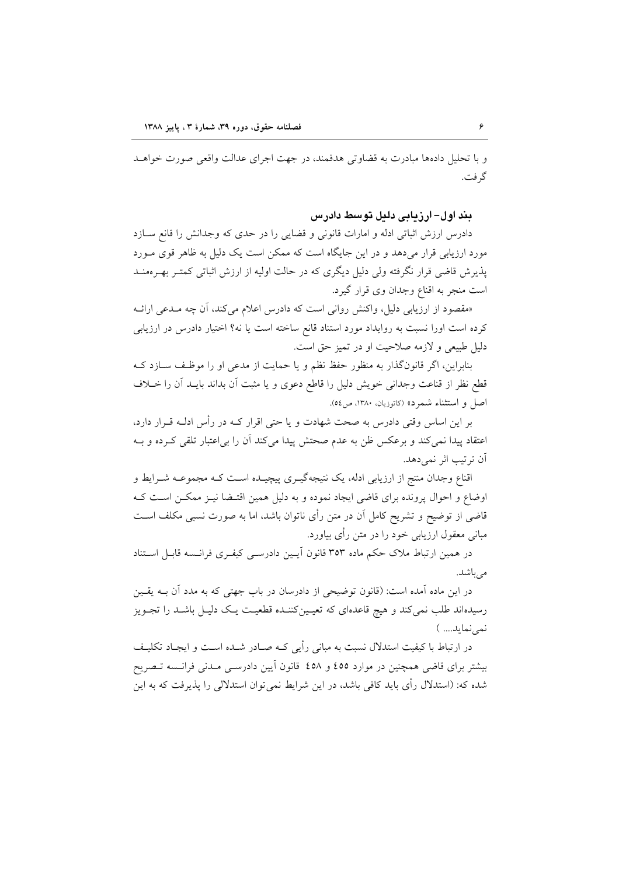و با تحلیل دادهها مبادرت به قضاوتی هدفمند، در جهت اجرای عدالت واقعی صورت خواهـد گر فت.

بند اول– ارزیابی دلیل توسط دادرس

دادرس ارزش اثباتی ادله و امارات قانونی و قضایی را در حدی که وجدانش را قانع سازد مورد ارزیابی قرار میدهد و در این جایگاه است که ممکن است یک دلیل به ظاهر قوی مـورد پذیرش قاضی قرار نگرفته ولی دلیل دیگری که در حالت اولیه از ارزش اثباتی کمتـر بهـرهمنــد است منجر به اقناع وجدان وي قرار گيرد.

«مقصود از ارزیابی دلیل، واکنش روانی است که دادرس اعلام می کند، آن چه مـدعی ارائــه کرده است اورا نسبت به روایداد مورد استناد قانع ساخته است یا نه؟ اختیار دادرس در ارزیابی دلیل طبیعی و لازمه صلاحیت او در تمیز حق است.

بنابراین، اگر قانونگذار به منظور حفظ نظم و یا حمایت از مدعی او را موظف سـازد کـه قطع نظر از قناعت وجداني خويش دليل را قاطع دعوى و يا مثبت أن بداند بايـد أن را خــلاف اصل و استثناء شمرد» (كاتوزيان، ١٣٨٠، ص٥٤).

بر این اساس وقتی دادرس به صحت شهادت و یا حتی اقرار کــه در رأس ادلــه قــرار دارد، اعتقاد پیدا نمی کند و برعکس ظن به عدم صحتش پیدا می کند آن را بی|عتبار تلقی کـرده و بـه آن ترتيب اثر نمي دهد.

اقناع وجدان منتج از ارزیابی ادله، یک نتیجهگیــری پیچیــده اســت کــه مجموعــه شــرایط و اوضاع و احوال پرونده برای قاضی ایجاد نموده و به دلیل همین اقتـضا نیــز ممکــن اســت کــه قاضی از توضیح و تشریح کامل آن در متن رأی ناتوان باشد، اما به صورت نسبی مکلف اسـت مبانی معقول ارزیابی خود را در متن رأی بیاورد.

در همین ارتباط ملاک حکم ماده ۳۵۳ قانون آیـین دادرسـی کیفـری فرانـسه قابـل اسـتناد می باشد.

در این ماده آمده است: (قانون توضیحی از دادرسان در باب جهتی که به مدد آن بـه یقـین رسیدهاند طلب نمی کند و هیچ قاعدهای که تعیـینکننـده قطعیـت یـک دلیـل باشـد را تجـویز نمي نمايد.... )

در ارتباط با کیفیت استدلال نسبت به مبانی رأیی کـه صـادر شــده اســت و ایجـاد تکلیـف بیشتر برای قاضی همچنین در موارد ٤٥٥ و ٤٥٨ قانون اَیین دادرســی مـدنی فرانــسه تــصریح شده که: (استدلال رأی باید کافی باشد، در این شرایط نمی توان استدلالی را پذیرفت که به این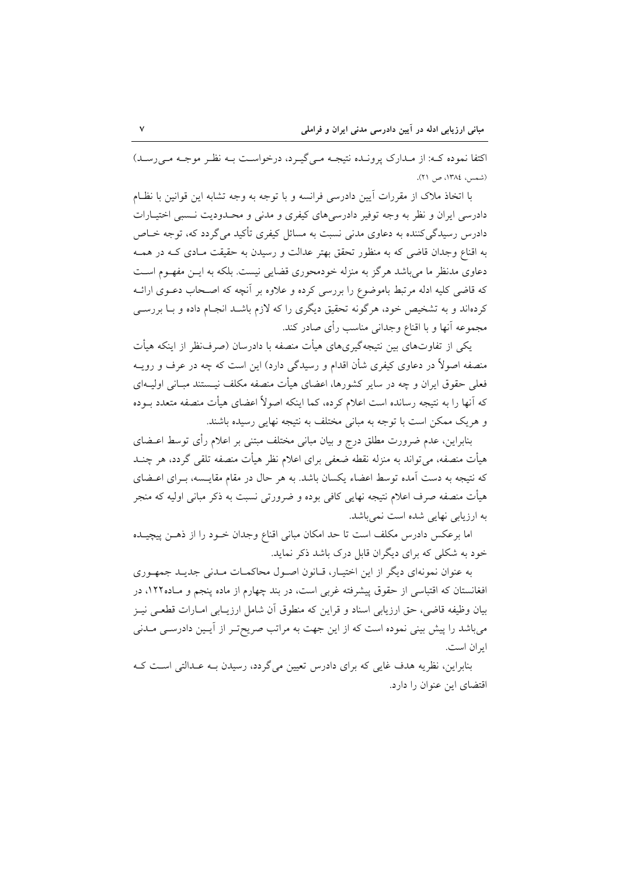اکتفا نموده که: از مـدارک پرونـده نتيجـه مـي گيـرد، درخواسـت بـه نظـر موجـه مـي رسـد) (شمس، ١٣٨٤، ص ٢١).

با اتخاذ ملاک از مقررات آیین دادرسی فرانسه و با توجه به وجه تشابه این قوانین با نظـام دادرسی ایران و نظر به وجه توفیر دادرسی های کیفری و مدنی و محـدودیت نـسبی اختیـارات دادرس رسیدگی کننده به دعاوی مدنی نسبت به مسائل کیفری تأکید می گردد که، توجه خــاص به اقناع وجدان قاضی که به منظور تحقق بهتر عدالت و رسیدن به حقیقت مـادی کـه در همـه دعاوی مدنظر ما میباشد هرگز به منزله خودمحوری قضایی نیست. بلکه به ایـن مفهـوم اسـت که قاضی کلیه ادله مرتبط باموضوع را بررسی کرده و علاوه بر آنچه که اصـحاب دعــوی ارائــه کردهاند و به تشخیص خود، هرگونه تحقیق دیگری را که لازم باشــد انجـام داده و بــا بررســی مجموعه آنها و با اقناع وجدانی مناسب رأی صادر کند.

یکی از تفاوتهای بین نتیجهگیریهای هیأت منصفه با دادرسان (صرف $\rm id$  از اینکه هیأت منصفه اصولاً در دعاوی کیفری شأن اقدام و رسیدگی دارد) این است که چه در عرف و رویــه فعلی حقوق ایران و چه در سایر کشورها، اعضای هیأت منصفه مکلف نیـستند مبـانی اولیــهای که آنها را به نتیجه رسانده است اعلام کرده، کما اینکه اصولاً اعضای هیأت منصفه متعدد بــوده و هريک ممکن است با توجه به مباني مختلف به نتيجه نهايي رسيده باشند.

بنابراین، عدم ضرورت مطلق درج و بیان مبانی مختلف مبتنی بر اعلام رأی توسط اعــضای هیأت منصفه، می تواند به منزله نقطه ضعفی برای اعلام نظر هیأت منصفه تلقی گردد، هر چنــد که نتیجه به دست آمده توسط اعضاء یکسان باشد. به هر حال در مقام مقایــسه، بـرای اعــضای هیأت منصفه صرف اعلام نتیجه نهایی کافی بوده و ضرورتی نسبت به ذکر مبانی اولیه که منجر به ارزیابی نهایی شده است نمیباشد.

اما برعكس دادرس مكلف است تا حد امكان مبانى اقناع وجدان خــود را از ذهــن پيچيــده خود به شکلی که برای دیگران قابل درک باشد ذکر نماید.

به عنوان نمونهای دیگر از این اختیـار، قـانون اصـول محاکمـات مـدنی جدیـد جمهـوری افغانستان که اقتباسی از حقوق پیشرفته غربی است، در بند چهارم از ماده پنجم و مـاده۱۲۲، در بیان وظیفه قاضی، حق ارزیابی اسناد و قراین که منطوق آن شامل ارزیبابی امبارات قطعی نیبز می باشد را پیش بینی نموده است که از این جهت به مراتب صریح تر از آیـین دادرسـی مـدنی ابران است.

بنابراین، نظریه هدف غایی که برای دادرس تعیین می گردد، رسیدن بـه عـدالتی اسـت کـه اقتضای این عنوان را دارد.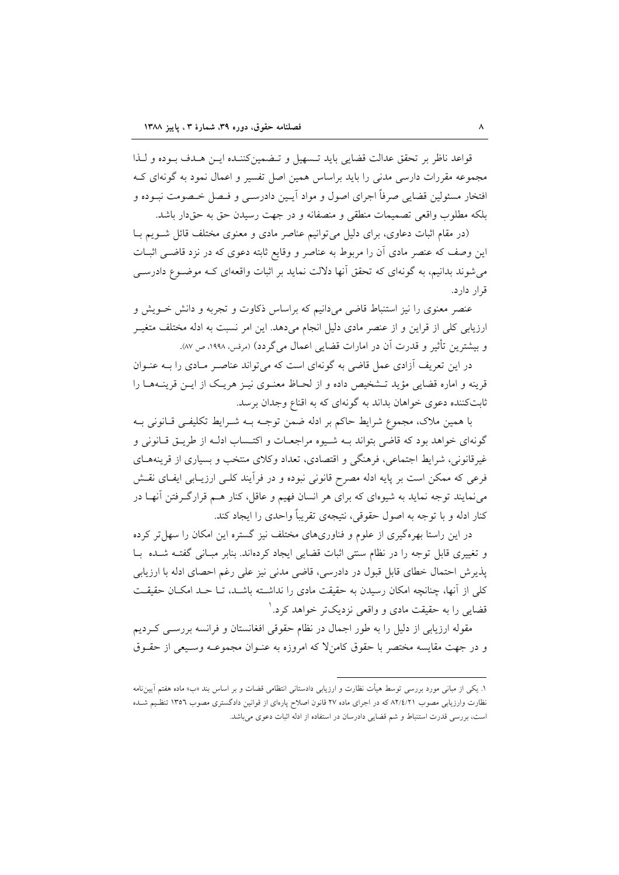قواعد ناظر بر تحقق عدالت قضايي بايد تـسهيل و تـضمين كننـده ايـن هـدف بـوده و لـذا مجموعه مقررات دارسی مدنی را باید براساس همین اصل تفسیر و اعمال نمود به گونهای ک افتخار مسئولين قضايي صرفاً اجراي اصول و مواد آيـين دادرسـي و فـصل خـصومت نبـوده و بلکه مطلوب واقعی تصمیمات منطقی و منصفانه و در جهت رسیدن حق به حقدار باشد.

(در مقام اثبات دعاوی، برای دلیل می توانیم عناصر مادی و معنوی مختلف قائل شـویم بـا این وصف که عنصر مادی اَن را مربوط به عناصر و وقایع ثابته دعوی که در نزد قاضـی اثبــات می شوند بدانیم، به گونهای که تحقق آنها دلالت نماید بر اثبات واقعهای کـه موضـوع دادرســی قرار دارد.

عنصر معنوی را نیز استنباط قاضی میدانیم که براساس ذکاوت و تجربه و دانش خـویش و ارزیابی کلی از قراین و از عنصر مادی دلیل انجام میدهد. این امر نسبت به ادله مختلف متغیـر و بيشترين تأثير و قدرت آن در امارات قضايي اعمال مي گردد) (مرقس، ١٩٩٨، ص ٨٧).

در این تعریف آزادی عمل قاضی به گونهای است که می تواند عناصـر مـادی را بــه عنــوان قرینه و اماره قضایی مؤید تـشخیص داده و از لحـاظ معنـوی نیـز هریـک از ایـن قرینــههـا را ثابتکننده دعوی خواهان بداند به گونهای که به اقناع وجدان برسد.

با همین ملاک، مجموع شرایط حاکم بر ادله ضمن توجـه بـه شـرایط تکلیفـی قـانونی بـه گونهای خواهد بود که قاضی بتواند بـه شـیوه مراجعـات و اکتـساب ادلـه از طریــق قــانونی و غیرقانونی، شرایط اجتماعی، فرهنگی و اقتصادی، تعداد وکلای منتخب و بسیاری از قرینههـای فرعی که ممکن است بر پایه ادله مصرح قانونی نبوده و در فرأیند کلـی ارزیــابی ایفـای نقــش می نمایند توجه نماید به شیوهای که برای هر انسان فهیم و عاقل، کنار هـم قرارگـرفتن آنهـا در کنار ادله و با توجه به اصول حقوقی، نتیجهی تقریباً واحدی را ایجاد کند.

در این راستا بهرهگیری از علوم و فناوریهای مختلف نیز گستره این امکان را سهل تر کرده و تغییری قابل توجه را در نظام سنتی اثبات قضایی ایجاد کردهاند. بنابر مبـانی گفتـه شـده بـا يذير ش احتمال خطاي قابل قبول در دادرسي، قاضي مدني نيز على رغم احصاي ادله با ارزيابي کلی از آنها، چنانچه امکان رسیدن به حقیقت مادی را نداشته باشـد، تـا حـد امکـان حقیقـت قضایی را به حقیقت مادی و واقعی نزدیک تر خواهد کرد. ۱

مقوله ارزیابی از دلیل را به طور اجمال در نظام حقوقی افغانستان و فرانسه بررسـی کـردیم و در جهت مقايسه مختصر با حقوق كامنٍلا كه امروزه به عنـوان مجموعـه وسـيعي از حقـوق

۱. یکی از مبانی مورد بررسی توسط هیأت نظارت و ارزیابی دادستانی انتظامی قضات و بر اساس بند «ب» ماده هفتم آیین نامه نظارت وارزیابی مصوب ۸۲/٤/۲۱ که در اجرای ماده ۲۷ قانون اصلاح پارهای از قوانین دادگستری مصوب ۱۳۵۲ تنظیم شده است، بررسی قدرت استنباط و شم قضایی دادرسان در استفاده از ادله اثبات دعوی میباشد.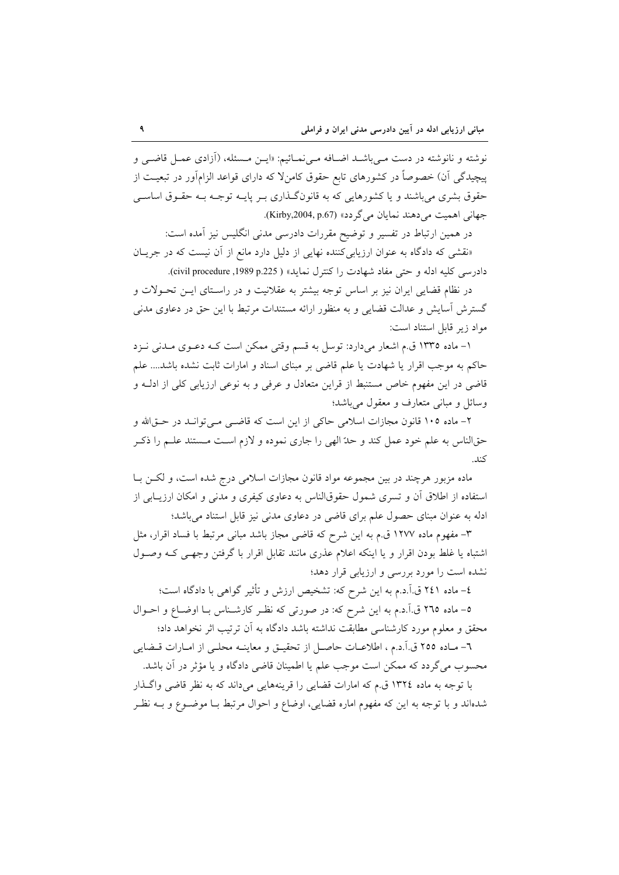نوشته و نانوشته در دست مـىباشـد اضـافه مـىنمـائيم: «ايـن مـسئله، (أزادى عمـل قاضـى و پیچیدگی آن) خصوصاً در کشورهای تابع حقوق کامنلا که دارای قواعد الزامآور در تبعیت از حقوق بشری میباشند و یا کشورهایی که به قانونگذاری بـر پایــه توجــه بــه حقــوق اساســی جهاني اهميت مي دهند نمايان مي گردد» (Kirby,2004, p.67).

در همین ارتباط در تفسیر و توضیح مقررات دادرسی مدنی انگلیس نیز آمده است: «نقشی که دادگاه به عنوان ارزیابی کننده نهایی از دلیل دارد مانع از آن نیست که در جریـان

دادرسي كليه ادله و حتى مفاد شهادت را كنترل نمايد» ( civil procedure ,1989 p.225).

در نظام قضایی ایران نیز بر اساس توجه بیشتر به عقلانیت و در راسـتای ایــن تحـولات و گسترش آسایش و عدالت قضایی و به منظور ارائه مستندات مرتبط با این حق در دعاوی مدنی مواد زير قابل استناد است:

۱– ماده ۱۳۳۵ ق.م اشعار میدارد: توسل به قسم وقتی ممکن است کـه دعـوی مـدنی نـزد حاکم به موجب اقرار یا شهادت یا علم قاضی بر مبنای اسناد و امارات ثابت نشده باشد.... علم قاضی در این مفهوم خاص مستنبط از قراین متعادل و عرفی و به نوعی ارزیابی کلی از ادلـه و وسائل و مبانی متعارف و معقول میباشد؛

۲- ماده ۱۰۵ قانون مجازات اسلامی حاکی از این است که قاضی میتواند در حتیالله و حقالناس به علم خود عمل کند و حدّ الهی را جاری نموده و لازم است مـستند علـم را ذکـر  $1:5$ 

ماده مزبور هرچند در بین مجموعه مواد قانون مجازات اسلامی درج شده است، و لکـن بـا استفاده از اطلاق آن و تسری شمول حقوقالناس به دعاوی کیفری و مدنی و امکان ارزیبابی از ادله به عنوان مبنای حصول علم برای قاضی در دعاوی مدنی نیز قابل استناد میباشد؛

٣- مفهوم ماده ١٢٧٧ ق.م به اين شرح كه قاضي مجاز باشد مباني مرتبط با فساد اقرار، مثل اشتباه یا غلط بودن اقرار و یا اینکه اعلام عذری مانند تقابل اقرار با گرفتن وجهی کـه وصـول نشده است را مورد بررسی و ارزیابی قرار دهد؛

٤– ماده ٢٤١ ق.آ.د.م به اين شرح كه: تشخيص ارزش و تأثير گواهي با دادگاه است؛ ٥– ماده ٢٦٥ ق.آ.د.م به اين شرح كه: در صورتي كه نظـر كارشـناس بــا اوضــاع و احــوال محقق و معلوم مورد كارشناسي مطابقت نداشته باشد دادگاه به آن ترتيب اثر نخواهد داد؛

٦- مـاده ٢٥٥ ق.اً.د.م ، اطلاعــات حاصــل از تحقيــق و معاينــه محلــي از امــارات قــضايـي محسوب مي گردد كه ممكن است موجب علم يا اطمينان قاضي دادگاه و يا مؤثر در آن باشد.

با توجه به ماده ١٣٢٤ ق.م كه امارات قضايي را قرينههايي ميداند كه به نظر قاضي واگذار شدهاند و با توجه به این که مفهوم اماره قضایی، اوضاع و احوال مرتبط بـا موضـوع و بــه نظـر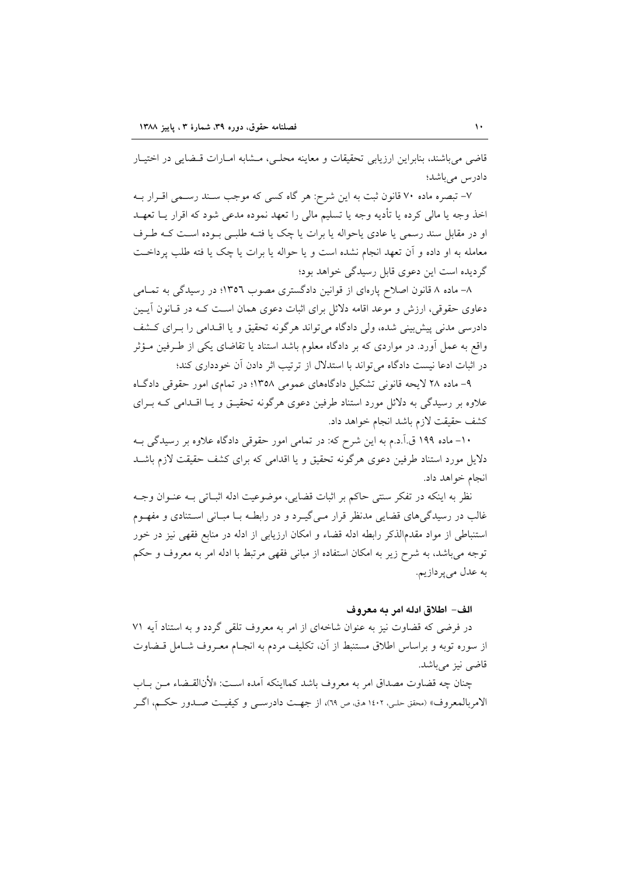قاضی می باشند، بنابراین ارزیابی تحقیقات و معاینه محلبی، مــشابه امــارات قــضایی در اختیــار دادر س مے پاشد؛

۷– تبصره ماده ۷۰ قانون ثبت به این شرح: هر گاه کسی که موجب سـند رسـمی اقــرار بــه اخذ وجه یا مالی کرده یا تأدیه وجه یا تسلیم مالی را تعهد نموده مدعی شود که اقرار یــا تعهــد او در مقابل سند رسمي يا عادي ياحواله يا برات يا چک يا فتـه طلبـي بـوده اسـت کـه طـرف معامله به او داده و آن تعهد انجام نشده است و يا حواله يا برات يا چک يا فته طلب پرداخت گردیده است این دعوی قابل رسیدگی خواهد بود؛

۸– ماده ۸ قانون اصلاح پارهای از قوانین دادگستری مصوب ۱۳۵۲؛ در رسیدگی به تمـامی دعاوی حقوقی، ارزش و موعد اقامه دلائل برای اثبات دعوی همان است کـه در قـانون آيـين دادرسی مدنی پیش بینی شده، ولی دادگاه می تواند هرگونه تحقیق و یا اقلدامی را بـرای کـشف واقع به عمل آورد. در مواردی که بر دادگاه معلوم باشد استناد یا تقاضای یکی از طـرفین مـؤثر در اثبات ادعا نیست دادگاه می تواند با استدلال از ترتیب اثر دادن آن خودداری کند؛

۹- ماده ۲۸ لایحه قانونی تشکیل دادگاههای عمومی ۱۳۵۸؛ در تمامی امور حقوقی دادگاه علاوه بر رسیدگی به دلائل مورد استناد طرفین دعوی هرگونه تحقیـق و یـا اقـدامی کـه بـرای كشف حقيقت لازم باشد انجام خواهد داد.

١٠- ماده ١٩٩ ق.آ.د.م به اين شرح كه: در تمامي امور حقوقي دادگاه علاوه بر رسيدگي بـه دلایل مورد استناد طرفین دعوی هرگونه تحقیق و یا اقدامی که برای کشف حقیقت لازم باشـد انجام خواهد داد.

نظر به اینکه در تفکر سنتی حاکم بر اثبات قضایی، موضوعیت ادله اثبـاتی بـه عنـوان وجـه غالب در رسیدگیهای قضایی مدنظر قرار میگیرد و در رابطـه بـا مبـانی اسـتنادی و مفهـوم استنباطی از مواد مقدمالذکر رابطه ادله قضاء و امکان ارزیابی از ادله در منابع فقهی نیز در خور توجه می باشد، به شرح زیر به امکان استفاده از مبانی فقهی مرتبط با ادله امر به معروف و حکم به عدل مي پردازيم.

### الف- اطلاق ادله امر به معروف

در فرضی که قضاوت نیز به عنوان شاخهای از امر به معروف تلقی گردد و به استناد آیه ۷۱ از سوره توبه و براساس اطلاق مستنبط از آن، تكليف مردم به انجـام معـروف شـامل قــضاوت قاضي نيز مي باشد.

چنان چه قضاوت مصداق امر به معروف باشد کمااینکه آمده اسـت: «لأنالقـضاء مـن بــاب الامربالمعروف» (محقق حلبي، ١٤٠٢ هـق، ص ٦٩)، از جهـت دادرســي و كيفيــت صــدور حكــم، اگــر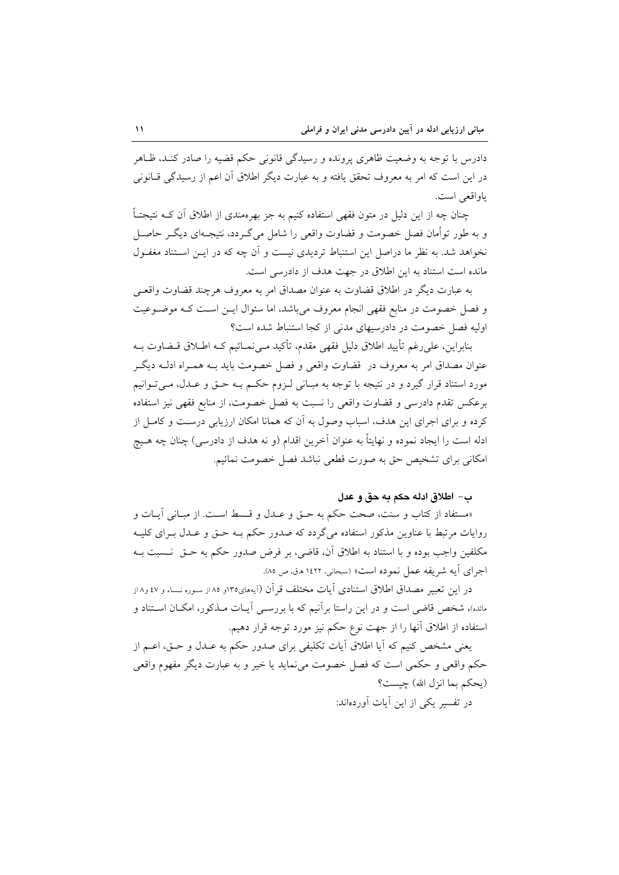دادرس با توجه به وضعیت ظاهری پرونده و رسیدگی قانونی حکم قضیه را صادر کنـد، ظـاهر در این است که امر به معروف تحقق یافته و به عبارت دیگر اطلاق آن اعم از رسیدگی قــانونی ياواقعي است.

چنان چه از این دلیل در متون فقهی استفاده کنیم به جز بهرهمندی از اطلاق آن کــه نتیجتــاً و به طور توأمان فصل خصومت و قضاوت واقعی را شامل می گـردد، نتیجـهای دیگـر حاصـل نخواهد شد. به نظر ما دراصل این استنباط تردیدی نیست و آن چه که در ایــن اسـتناد مغفــول مانده است استناد به این اطلاق در جهت هدف از دادرسی است.

به عبارت ديگر در اطلاق قضاوت به عنوان مصداق امر به معروف هرچند قضاوت واقعـي و فصل خصومت در منابع فقهی انجام معروف میباشد، اما سئوال ایـن اسـت کـه موضـوعیت اولیه فصل خصومت در دادرسیهای مدنی از کجا استنباط شده است؟

بنابراين، على رغم تأييد اطلاق دليل فقهي مقدم، تأكيد مـي نمــائيم كــه اطــلاق قــضاوت بــه عنوان مصداق امر به معروف در قضاوت واقعی و فصل خصومت باید بـه همـراه ادلـه دیگـر مورد استناد قرار گیرد و در نتیجه با توجه به مبـانی لـزوم حکـم بـه حـق و عـدل، مـیتـوانیم برعكس تقدم دادرسي و قضاوت واقعي را نسبت به فصل خصومت، از منابع فقهي نيز استفاده کرده و برای اجرای این هدف، اسباب وصول به آن که همانا امکان ارزیابی درست و کامـل از ادله است را ايجاد نموده و نهايتاً به عنوان آخرين اقدام (و نه هدف از دادرسي) چنان چه هـيچ امکانی برای تشخیص حق به صورت قطعی نباشد فصل خصومت نمائیم.

### ب – اطلاق ادله حكم به حق و عدل

«مستفاد از كتاب و سنت، صحت حكم به حـق و عـدل و قـسط اسـت. از مبـاني آيـات و روایات مرتبط با عناوین مذکور استفاده میگردد که صدور حکم بـه حـق و عـدل بـرای کلیـه مكلفين واجب بوده و با استناد به اطلاق آن، قاضي، بر فرض صدور حكم به حــق نــسبت بــه اجراي آيه شريفه عمل نموده است» (سبحاني، ١٤٢٢ هـق ص ٨٥).

در این تعبیر مصداق اطلاق استنادی آیات مختلف قرآن (آیههای۱۳۵و ۸۵ از سـوره نـساء و ٤٧ و۱۸ ز مانده)، شخص قاضی است و در این راستا برآنیم که با بررســی آیــات مــذکور، امکــان اســتناد و استفاده از اطلاق أنها را از جهت نوع حکم نیز مورد توجه قرار دهیم.

یعنی مشخص کنیم که آیا اطلاق آیات تکلیفی برای صدور حکم به عـدل و حـق، اعــم از حکم واقعي و حکمي است که فصل خصومت مي نمايد يا خير و به عبارت ديگر مفهوم واقعي (يحكم بما انزل الله) چيست؟ در تفسیر یکی از این آبات آوردهاند: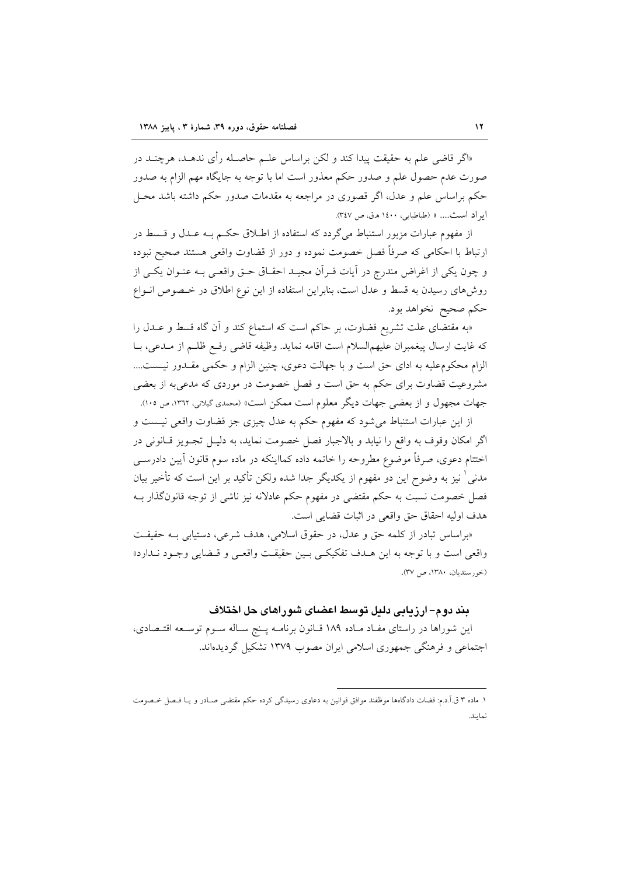«اگر قاضی علم به حقیقت پیدا کند و لکن براساس علــم حاصــله رأی ندهــد، هرچنــد در صورت عدم حصول علم و صدور حکم معذور است اما با توجه به جایگاه مهم الزام به صدور حکم براساس علم و عدل، اگر قصوری در مراجعه به مقدمات صدور حکم داشته باشد محـل ابر اد است.... » (طباطبایی، ۱٤٠٠ ه.ق، ص ٣٤٧).

از مفهوم عبارات مزبور استنباط می گردد که استفاده از اطـلاق حکـم بــه عــدل و قــسط در ارتباط با احکامی که صرفاً فصل خصومت نموده و دور از قضاوت واقعی هستند صحیح نبوده و چون یکی از اغراض مندرج در آیات قـرآن مجیـد احقـاق حـق واقعـی بـه عنـوان یکـی از روشهای رسیدن به قسط و عدل است، بنابراین استفاده از این نوع اطلاق در خـصوص انـواع حکم صحیح نخواهد بود.

«به مقتضاى علت تشريع قضاوت، بر حاكم است كه استماع كند و آن گاه قسط و عــدل را كه غايت ارسال ييغمبران عليهم|لسلام است اقامه نمايد. وظيفه قاضي رفع ظلـم از مــدعى، بــا الزام محکومعلیه به ادای حق است و با جهالت دعوی، چنین الزام و حکمی مقـدور نیـست.... مشروعیت قضاوت برای حکم به حق است و فصل خصومت در موردی که مدعی به از بعضی جهات مجهول و از بعضی جهات دیگر معلوم است ممکن است» (محمدی گیلانی، ۱۳۱۲، ص ۱۰۵).

از این عبارات استنباط می شود که مفهوم حکم به عدل چیزی جز قضاوت واقعی نیست و اگر امکان وقوف به واقع را نیابد و بالاجبار فصل خصومت نماید، به دلیـل تجـویز قــانونی در اختتام دعوی، صرفاً موضوع مطروحه را خاتمه داده کمااینکه در ماده سوم قانون آیین دادرســی مدنی ٰ نیز به وضوح این دو مفهوم از یکدیگر جدا شده ولکن تأکید بر این است که تأخیر بیان فصل خصومت نسبت به حکم مقتضی در مفهوم حکم عادلانه نیز ناشی از توجه قانون گذار بـه هدف اوليه احقاق حق واقعي در اثبات قضايي است.

«براساس تبادر از کلمه حق و عدل، در حقوق اسلامی، هدف شرعی، دستیابی بـه حقیقت واقعي است و با توجه به اين هـدف تفكيكـي بـين حقيقـت واقعـي و قـضايي وجـود نـدارد» (خورسنديان، ١٣٨٠، ص ٣٧).

## بند دوم–ارزیابی دلیل توسط اعضای شوراهای حل اختلاف

این شوراها در راستای مفـاد مـاده ۱۸۹ قــانون برنامــه پــنج ســاله ســوم توســعه اقتــصادی، اجتماعی و فرهنگی جمهوری اسلامی ایران مصوب ۱۳۷۹ تشکیل گردیدهاند.

١. ماده ٣ ق.اَ.د.م: قضات دادگاهها موظفند موافق قوانین به دعاوی رسیدگی کرده حکم مقتضی صـادر و یـا فـصل خـصومت نمايند.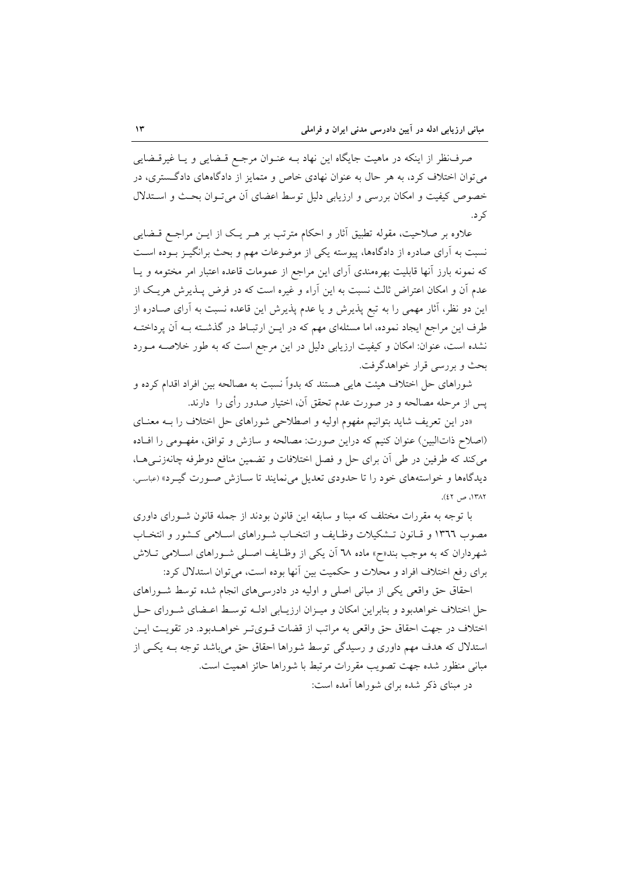صرف نظر از اینکه در ماهیت جایگاه این نهاد بــه عنــوان مرجــع قــضایی و یــا غیرقــضایی می توان اختلاف کرد، به هر حال به عنوان نهادی خاص و متمایز از دادگاههای دادگستری، در خصوص کیفیت و امکان بررسی و ارزیابی دلیل توسط اعضای أن می تـوان بحـث و اسـتدلال ک د.

علاوه بر صلاحیت، مقوله تطبیق آثار و احکام مترتب بر هـر یـک از ایـن مراجـع قــضایی نسبت به آرای صادره از دادگاهها، پیوسته یکی از موضوعات مهم و بحث برانگیــز بــوده اســت که نمونه بارز آنها قابلیت بهرهمندی آرای این مراجع از عمومات قاعده اعتبار امر مختومه و یـا عدم آن و امکان اعتراض ثالث نسبت به این آراء و غیره است که در فرض پــذیرش هریــک از این دو نظر، آثار مهمی را به تبع پذیرش و یا عدم پذیرش این قاعده نسبت به آرای صــادره از طرف این مراجع ایجاد نموده، اما مسئلهای مهم که در ایـن ارتبـاط در گذشـته بـه آن پرداختـه نشده است، عنوان: امکان و کیفیت ارزیابی دلیل در این مرجع است که به طور خلاصـه مـورد بحث و بررسی قرار خواهدگرفت.

شوراهای حل اختلاف هیئت هایی هستند که بدواً نسبت به مصالحه بین افراد اقدام کرده و پس از مرحله مصالحه و در صورت عدم تحقق آن، اختیار صدور رأی را دارند.

«در این تعریف شاید بتوانیم مفهوم اولیه و اصطلاحی شوراهای حل اختلاف را بـه معنـای (اصلاح ذاتالبین) عنوان کنیم که دراین صورت: مصالحه و سازش و توافق، مفهـومی را افـاده می کند که طرفین در طی اَن برای حل و فصل اختلافات و تضمین منافع دوطرفه چانهزنــیهــا، دیدگاهها و خواستههای خود را تا حدودی تعدیل می نمایند تا سـازش صـورت گیـرد» (عباسی.  $(27 - 117)$ 

با توجه به مقررات مختلف که مبنا و سابقه این قانون بودند از جمله قانون شـورای داوری مصوب ١٣٦٦ و قـانون تـشكيلات وظـايف و انتخـاب شـوراهاى اسـلامى كـشور و انتخـاب شهرداران که به موجب بند«ح» ماده ٦٨ آن یکی از وظـایف اصـلی شـوراهای اسـلامی تـلاش برای رفع اختلاف افراد و محلات و حکمیت بین آنها بوده است، می توان استدلال کرد:

احقاق حق واقعی یکی از مبانی اصلی و اولیه در دادرسی های انجام شده توسط شـوراهای حل اختلاف خواهدبود و بنابراین امکان و میـزان ارزیـابی ادلـه توسـط اعـضای شـورای حـل اختلاف در جهت احقاق حق واقعی به مراتب از قضات قـویتـر خواهـدبود. در تقویـت ایـن استدلال که هدف مهم داوری و رسیدگی توسط شوراها احقاق حق می باشد توجه بـه یکـی از مباني منظور شده جهت تصويب مقررات مرتبط با شوراها حائز اهميت است. در مبنای ذکر شده برای شوراها آمده است: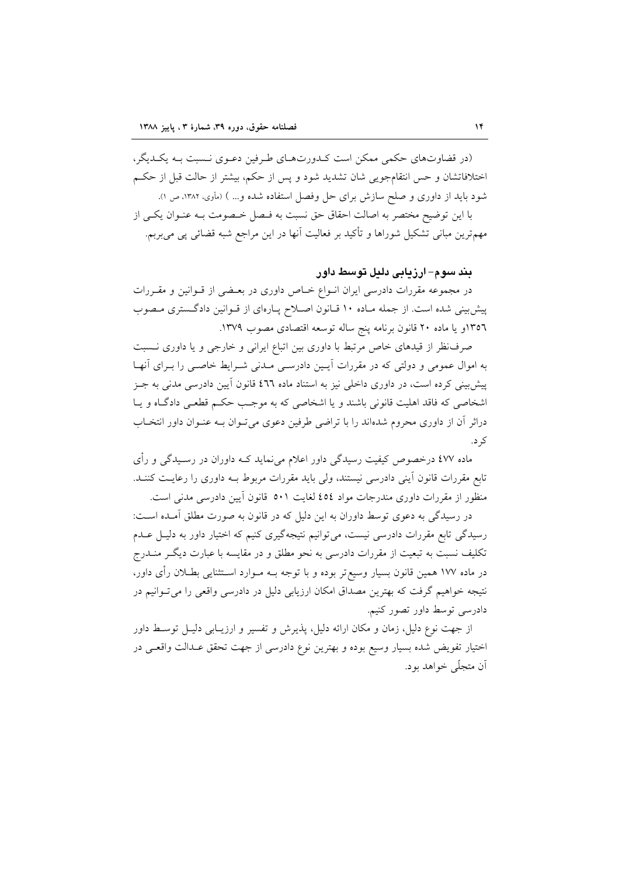(در قضاوتهای حکمی ممکن است کـدورتهـای طـرفین دعـوی نـسبت بـه یکـدیگر، اختلافاتشان و حس انتقامجویی شان تشدید شود و پس از حکم، بیشتر از حالت قبل از حکـم شود باید از داوری و صلح سازش برای حل وفصل استفاده شده و… ) (مأوی، ۱۳۸۲، ص ۱).

با این توضیح مختصر به اصالت احقاق حق نسبت به فـصل خـصومت بـه عنـوان یکـی از مهمترین مبانی تشکیل شوراها و تأکید بر فعالیت آنها در این مراجع شبه قضائی پی می بربم.

بند سوم–ارزیابی دلیل توسط داور

در مجموعه مقررات دادرسی ایران انسواع خـاص داوری در بعـضی از قــوانین و مقــررات پیش بینی شده است. از جمله مـاده ۱۰ قـانون اصـلاح پـارهای از قـوانین دادگـستری مـصوب ١٣٥٦و يا ماده ٢٠ قانون برنامه پنج ساله توسعه اقتصادى مصوب ١٣٧٩.

صرف نظر از قیدهای خاص مرتبط با داوری بین اتباع ایرانی و خارجی و یا داوری نسبت به اموال عمومی و دولتی که در مقررات آیـین دادرسـی مـدنی شـرایط خاصـی را بـرای آنهـا پیش بینی کرده است، در داوری داخلی نیز به استناد ماده ٤٦٦ قانون آیین دادرسی مدنی به جـز اشخاصی که فاقد اهلیت قانونی باشند و یا اشخاصی که به موجب حکم قطعی دادگاه و یا دراثر آن از داوری محروم شدهاند را با تراضی طرفین دعوی میتوان بـه عنـوان داور انتخـاب ک د.

ماده ٤٧٧ درخصوص کیفیت رسیدگی داور اعلام می نماید کـه داوران در رسـیدگی و رأی تابع مقررات قانون آینی دادرسی نیستند، ولی باید مقررات مربوط بـه داوری را رعایـت کننـد. منظور از مقررات داوری مندرجات مواد ٤٥٤ لغایت ٥٠١ قانون آیین دادرسی مدنی است.

در رسیدگی به دعوی توسط داوران به این دلیل که در قانون به صورت مطلق آمـده اسـت: رسیدگی تابع مقررات دادرسی نیست، می توانیم نتیجهگیری کنیم که اختیار داور به دلیـل عـدم تکلیف نسبت به تبعیت از مقررات دادرسی به نحو مطلق و در مقایسه با عبارت دیگ ِ منــدرج در ماده ۱۷۷ همین قانون بسیار وسیع تر بوده و با توجه بــه مــوارد اســتثنایی بطــلان رأی داور، نتیجه خواهیم گرفت که بهترین مصداق امکان ارزیابی دلیل در دادرسی واقعی را می تـوانیم در دادرسی توسط داور تصور کنیم.

از جهت نوع دلیل، زمان و مکان ارائه دلیل، پذیرش و تفسیر و ارزیــابی دلیــل توســط داور اختیار تفویض شده بسیار وسیع بوده و بهترین نوع دادرسی از جهت تحقق عـدالت واقعـی در آن متجلَّى خواهد بود.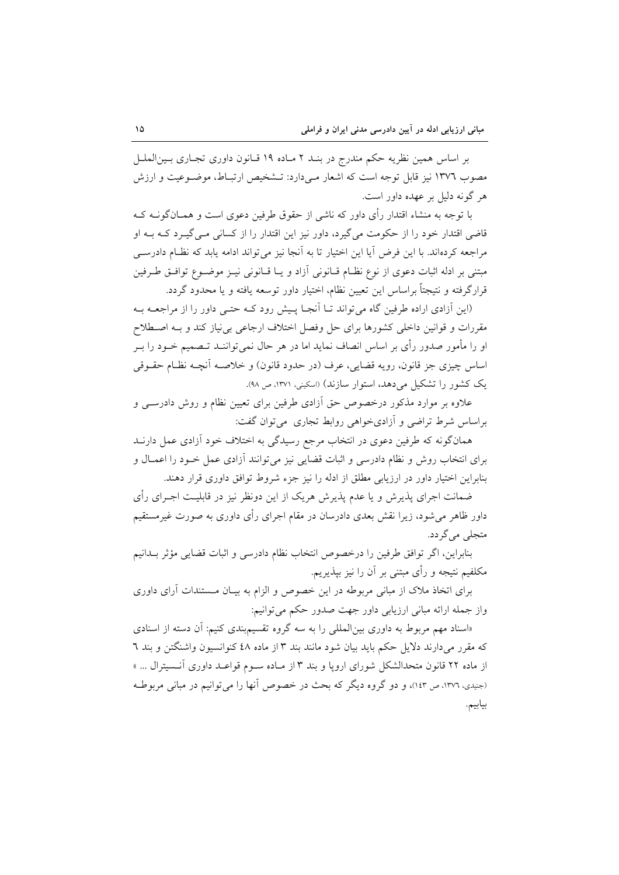بر اساس همین نظریه حکم مندرج در بنـد ۲ مـاده ۱۹ قـانون داوری تجـاری بـین|لملـل مصوب ١٣٧٦ نيز قابل توجه است كه اشعار مبي دارد: تــشخيص ارتبــاط، موضــوعيت و ارزش هر گونه دليل بر عهده داور است.

با توجه به منشاء اقتدار رأى داور كه ناشى از حقوق طرفين دعوى است و همــانگونــه كــه قاضی اقتدار خود را از حکومت می گیرد، داور نیز این اقتدار را از کسانی مـی گیـرد کـه بـه او مراجعه کردهاند. با این فرض آیا این اختیار تا به آنجا نیز میتواند ادامه یابد که نظـام دادرســی مبتني بر ادله اثبات دعوى از نوع نظـام قــانوني أزاد و يــا قــانوني نيــز موضــوع توافــق طــرفين قرارگرفته و نتیجتاً براساس این تعیین نظام، اختیار داور توسعه یافته و یا محدود گردد.

(این آزادی اراده طرفین گاه می تواند تـا آنجـا پـیش رود کـه حتـی داور را از مراجعـه بـه مقررات و قوانین داخلی کشورها برای حل وفصل اختلاف ارجاعی بی نیاز کند و بـه اصـطلاح او را مأمور صدور رأى بر اساس انصاف نمايد اما در هر حال نمى تواننـد تـصميم خــود را بــر اساس چیزی جز قانون، رویه قضایی، عرف (در حدود قانون) و خلاصـه أنچـه نظـام حقــوقی یک کشور را تشکیل می دهد، استوار سازند) (اسکینی، ۱۳۷۱، ص ۹۸).

علاوه بر موارد مذکور درخصوص حق أزادي طرفين براي تعيين نظام و روش دادرســي و براساس شرط تراضی و آزادیخواهی روابط تجاری می توان گفت:

همانگونه که طرفین دعوی در انتخاب مرجع رسیدگی به اختلاف خود آزادی عمل دارنــد برای انتخاب روش و نظام دادرسی و اثبات قضایی نیز میتوانند آزادی عمل خـود را اعمـال و بنابراین اختیار داور در ارزیابی مطلق از ادله را نیز جزء شروط توافق داوری قرار دهند.

ضمانت اجرای پذیرش و یا عدم پذیرش هریک از این دونظر نیز در قابلیت اجـرای رأی داور ظاهر میشود، زیرا نقش بعدی دادرسان در مقام اجرای رأی داوری به صورت غیرمستقیم متجلي مي گر دد.

بنابراين، اگر توافق طرفين را درخصوص انتخاب نظام دادرسي و اثبات قضايي مؤثر بـدانيم مکلفیم نتیجه و رأی مبتنی بر آن را نیز بپذیریم.

برای اتخاذ ملاک از مبانی مربوطه در این خصوص و الزام به بیـان مـستندات آرای داوری واز جمله ارائه مباني ارزيابي داور جهت صدور حكم مي توانيم:

«اسناد مهم مربوط به داوری بین المللی را به سه گروه تقسیم بندی کنیم: آن دسته از اسنادی که مقرر می دارند دلایل حکم باید بیان شود مانند بند ۳ از ماده ٤٨ کنوانسیون واشنگتن و بند ٦ از ماده ۲۲ قانون متحدالشکل شورای اروپا و بند ۳ از مـاده سـوم قواعـد داوری آنـسیترال ... » (جنیدی، ١٣٧٦، ص ١٤٣)، و دو گروه دیگر که بحث در خصوص آنها را می توانیم در مبانی مربوطه بيابيم.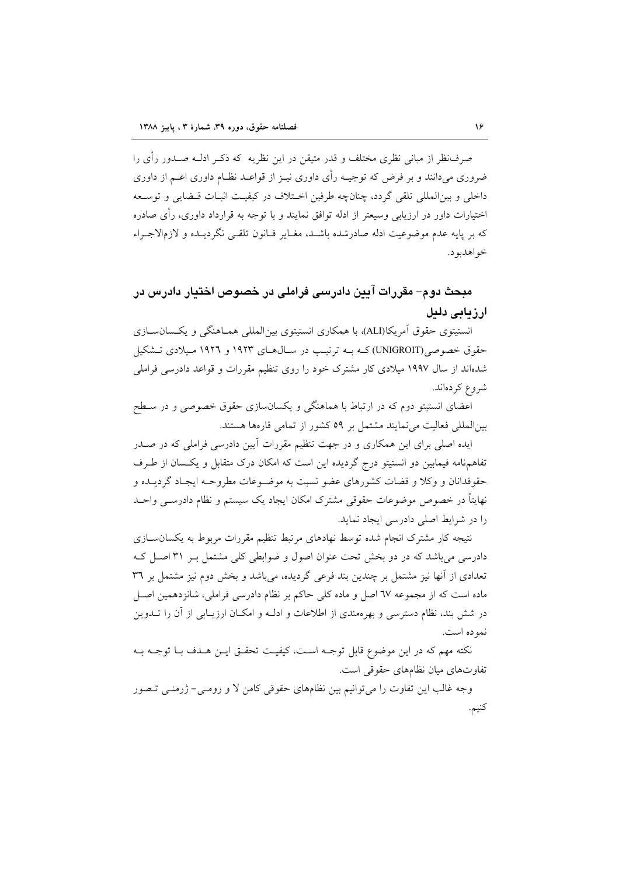صرفنظر از مبانی نظری مختلف و قدر متیقن در این نظریه که ذکـر ادلــه صــدور رأی را ضروری می دانند و بر فرض که توجیـه رأی داوری نیـز از قواعـد نظـام داوری اعـم از داوری داخلي و بين|لمللي تلقي گردد، چنانچه طرفين اخـتلاف در كيفيـت اثبـات قـضايي و توسـعه اختیارات داور در ارزیابی وسیعتر از ادله توافق نمایند و با توجه به قرارداد داوری، رأی صادره که بر پایه عدم موضوعیت ادله صادرشده باشـد، مغـایر قـانون تلقـی نگردیـده و لازمالاجـراء خواهدبو د.

# مبحث دوم– مقررات آيين دادرسي فراملي در خصوص اختيار دادرس در ارزيابي دليل

انستیتوی حقوق اَمریکا(ALI)، با همکاری انستیتوی بین|لمللی همـاهنگی و یکـسانســازی حقوق خصوصی(UNIGROIT)که بـه ترتیب در سـال۵حـای ۱۹۲۳ و ۱۹۲۲ مـیلادی تـشکیل شدهاند از سال ۱۹۹۷ میلادی کار مشترک خود را روی تنظیم مقررات و قواعد دادرسی فراملی شروع کردهاند.

اعضای انستیتو دوم که در ارتباط با هماهنگی و یکسانسازی حقوق خصوصی و در سـطح بین المللی فعالیت می نمایند مشتمل بر ٥٩ كشور از تمامی قارهها هستند.

ایده اصلی برای این همکاری و در جهت تنظیم مقررات اَیین دادرسی فراملی که در صـدر تفاهمهنامه فیمابین دو انستیتو درج گردیده این است که امکان درک متقابل و یکسان از طرف حقوقدانان و وكلا و قضات كشورهاى عضو نسبت به موضـوعات مطروحـه ايجـاد گرديــده و نهايتاً در خصوص موضوعات حقوقي مشترك امكان ايجاد يک سيستم و نظام دادرســي واحــد را در شرایط اصلی دادرسی ایجاد نماید.

نتیجه کار مشترک انجام شده توسط نهادهای مرتبط تنظیم مقررات مربوط به یکسان سازی دادرسی می باشد که در دو بخش تحت عنوان اصول و ضوابطی کلی مشتمل بـر ۳۱ اصـل کـه تعدادی از آنها نیز مشتمل بر چندین بند فرعی گردیده، میباشد و بخش دوم نیز مشتمل بر ۳٦ ماده است که از مجموعه ٦٧ اصل و ماده کلی حاکم بر نظام دادرسی فراملی، شانزدهمین اصــل در شش بند، نظام دسترسی و بهرهمندی از اطلاعات و ادلـه و امکـان ارزیـابی از آن را تــدوین نمو ده است.

نكته مهم كه در اين موضوع قابل توجـه اسـت، كيفيـت تحقـق ايـن هـدف بـا توجـه بـه تفاوتهای میان نظامهای حقوقی است.

وجه غالب این تفاوت را می توانیم بین نظامهای حقوقی کامن لا و رومـی- ژرمنـی تـصور كنيم.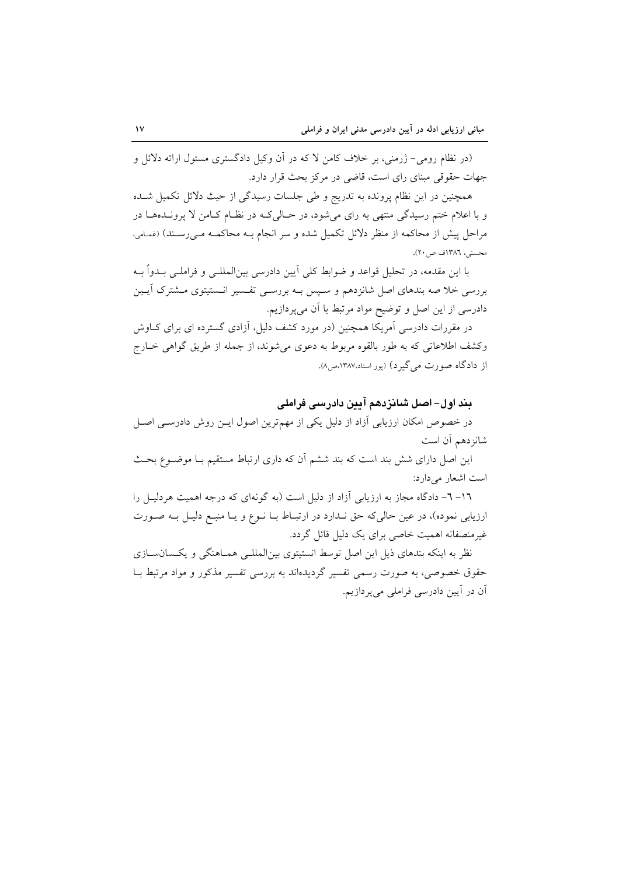(در نظام رومی– ژرمنی، بر خلاف کامن لا که در آن وکیل دادگستری مسئول ارائه دلائل و جهات حقوقی مبنای رای است، قاضی در مرکز بحث قرار دارد.

همچنین در این نظام پرونده به تدریج و طی جلسات رسیدگی از حیث دلائل تکمیل شـده و با اعلام ختم رسیدگی منتهی به رای میشود، در حـالیکـه در نظـام کـامن لا پرونــدههــا در مراحل پیش از محاکمه از منظر دلائل تکمیل شده و سر انجام بـه محاکمـه مـی(سـند) (غمـامی، محسنی، ۱۳۸٦ف ص۲۰).

با این مقدمه، در تحلیل قواعد و ضوابط کلی اّیین دادرسی بین|لمللـی و فراملـی بــدواً بــه بررسی خلا صه بندهای اصل شانزدهم و سـیس بــه بررســی تفـسیر انــستیتوی مــشترک آیــین دادرسی از این اصل و توضیح مواد مرتبط با آن میپردازیم.

در مقررات دادرسی آمریکا همچنین (در مورد کشف دلیل، آزادی گسترده ای برای کـاوش وكشف اطلاعاتي كه به طور بالقوه مربوط به دعوى مي شوند، از جمله از طريق گواهي خــارج از دادگاه صورت می گیر د) (پور استاد،۱۳۸۷،ص۸).

بند اول– اصل شانزدهم آیین دادرسی فراملی

در خصوص امکان ارزیابی آزاد از دلیل یکی از مهمترین اصول ایـن روش دادرسـی اصـل شان دهم آن است

این اصا, دارای شش بند است که بند ششم آن که داری ارتباط مستقیم بـا موضـوع بحـث است اشعار می دارد:

١٦– ٦– دادگاه مجاز به ارزیابی آزاد از دلیل است (به گونهای که درجه اهمیت هردلیـل را ارزیابی نموده)، در عین حالی که حق نـدارد در ارتبـاط بـا نـوع و يـا منبـع دليـل بـه صـورت غیرمنصفانه اهمیت خاصی برای یک دلیل قائل گردد.

نظر به اینکه بندهای ذیل این اصل توسط انستیتوی بینالمللـی همـاهنگی و یکـسانســازی حقوق خصوصی، به صورت رسمی تفسیر گردیدهاند به بررسی تفسیر مذکور و مواد مرتبط بـا آن در آیین دادرسی فراملی می پردازیم.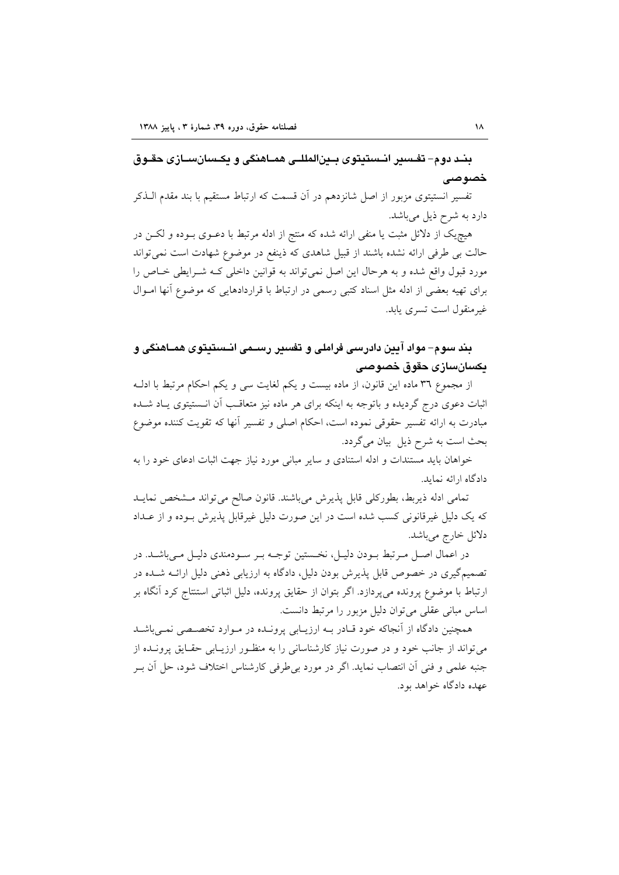بنـد دوم- تفـسير انـستيتوي بـينالمللـي همـاهنگي و يكـسانسـازي حقـوق خصوصی

تفسیر انستیتوی مزبور از اصل شانزدهم در آن قسمت که ارتباط مستقیم با بند مقدم الـذکر دارد به شرح ذیل میباشد.

هیچیک از دلائل مثبت یا منفی ارائه شده که منتج از ادله مرتبط با دعـوی بـوده و لکــن در حالت بی طرفی ارائه نشده باشند از قبیل شاهدی که ذینفع در موضوع شهادت است نمی تواند مورد قبول واقع شده و به هرحال این اصل نمی تواند به قوانین داخلی کـه شـرایطی خـاص را برای تهیه بعضی از ادله مثل اسناد کتبی رسمی در ارتباط با قراردادهایی که موضوع آنها امـوال غیرمنقول است تسری یابد.

## بند سوم– مواد آيين دادرسي فراملي و تفسير رســمي انــستيتوي همــاهنگي و يكسانسازى حقوق خصوصى

از مجموع ٣٦ ماده اين قانون، از ماده بيست و يكم لغايت سي و يكم احكام مرتبط با ادلـه اثبات دعوی درج گردیده و باتوجه به اینکه برای هر ماده نیز متعاقب آن انـستیتوی یـاد شـده مبادرت به ارائه تفسیر حقوقی نموده است، احکام اصلی و تفسیر آنها که تقویت کننده موضوع بحث است به شرح ذیل بیان می گردد.

خواهان باید مستندات و ادله استنادی و سایر مبانی مورد نیاز جهت اثبات ادعای خود را به دادگاه ارائه نماید.

تمامی ادله ذیربط، بطورکلی قابل پذیرش میباشند. قانون صالح می تواند مشخص نمایـد که یک دلیل غیرقانونی کسب شده است در این صورت دلیل غیرقابل پذیرش بـوده و از عـداد دلائل خارج مي باشد.

در اعمال اصل مرتبط بـودن دليـل، نخـستين توجـه بـر سـودمندي دليـل مـيباشـد. در تصمیمگیری در خصوص قابل پذیرش بودن دلیل، دادگاه به ارزیابی ذهنی دلیل ارائــه شــده در ارتباط با موضوع پرونده می پردازد. اگر بتوان از حقایق پرونده، دلیل اثباتی استنتاج کرد آنگاه بر اساس مبانی عقلی می توان دلیل مزبور را مرتبط دانست.

همچنین دادگاه از آنجاکه خود قـادر بــه ارزیــابی پرونــده در مــوارد تخصــصی نمــیباشــد می تواند از جانب خود و در صورت نیاز کارشناسانی را به منظـور ارزیـابی حقـایق پرونــده از جنبه علمي و فني أن انتصاب نمايد. اگر در مورد بي طرفي كارشناس اختلاف شود، حل أن بـر عهده دادگاه خواهد بود.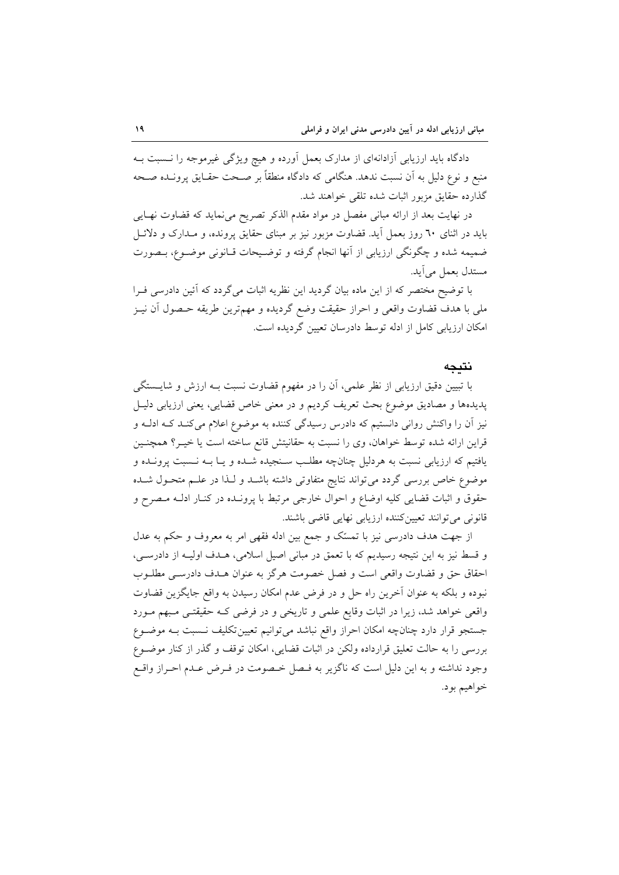دادگاه باید ارزیابی آزادانهای از مدارک بعمل آورده و هیچ ویژگی غیرموجه را نــسبت بــه منبع و نوع دلیل به آن نسبت ندهد. هنگامی که دادگاه منطقاً بر صـحت حقـایق پرونـده صـحه گذارده حقایق مزبور اثبات شده تلقی خواهند شد.

در نهایت بعد از ارائه مبانی مفصل در مواد مقدم الذکر تصریح می نماید که قضاوت نهـایی باید در اثنای ٦٠ روز بعمل أید. قضاوت مزبور نیز بر مبنای حقایق پرونده، و مـدارک و دلائــل ضمیمه شده و چگونگی ارزیابی از آنها انجام گرفته و توضیحات قـانونی موضـوع، بـصورت مستدل بعمل مي آيد.

با توضیح مختصر که از این ماده بیان گردید این نظریه اثبات میگردد که آئین دادرسی فـرا ملي با هدف قضاوت واقعي و احراز حقيقت وضع گرديده و مهمترين طريقه حــصول آن نيــز امکان ارزیابی کامل از ادله توسط دادرسان تعیین گردیده است.

#### نتىحە

با تبیین دقیق ارزیابی از نظر علمی، آن را در مفهوم قضاوت نسبت بـه ارزش و شایــستگی پدیدهها و مصادیق موضوع بحث تعریف کردیم و در معنی خاص قضایی، یعنی ارزیابی دلیـل نیز آن را واکنش روانی دانستیم که دادرس رسیدگی کننده به موضوع اعلام میکند کـه ادلـه و قراین ارائه شده توسط خواهان، وی را نسبت به حقانیتش قانع ساخته است یا خیـر؟ همچنـین یافتیم که ارزیابی نسبت به هردلیل چنانچه مطلب سـنجیده شـده و یـا بــه نــسبت پرونــده و موضوع خاص بررسی گردد میتواند نتایج متفاوتی داشته باشـد و لـذا در علـم متحـول شـده حقوق و اثبات قضایی کلیه اوضاع و احوال خارجی مرتبط با پرونـده در کنـار ادلـه مـصرح و قانونی می توانند تعیین کننده ارزیابی نهایی قاضی باشند.

از جهت هدف دادرسی نیز با تمسّک و جمع بین ادله فقهی امر به معروف و حکم به عدل و قسط نیز به این نتیجه رسیدیم که با تعمق در مبانی اصیل اسلامی، هـدف اولیـه از دادرسـی، احقاق حق و قضاوت واقعي است و فصل خصومت هرگز به عنوان هــدف دادرســي مطلــوب نبوده و بلکه به عنوان آخرین راه حل و در فرض عدم امکان رسیدن به واقع جایگزین قضاوت واقعی خواهد شد، زیرا در اثبات وقایع علمی و تاریخی و در فرضی کـه حقیقتـی مـبهم مــورد جستجو قرار دارد چنانچه امکان احراز واقع نباشد می توانیم تعیین تکلیف نـسبت بـه موضـوع بررسی را به حالت تعلیق قرارداده ولکن در اثبات قضایی، امکان توقف و گذر از کنار موضـوع وجود نداشته و به این دلیل است که ناگزیر به فـصل خـصومت در فـرض عـدم احـراز واقـع خواهيم بود.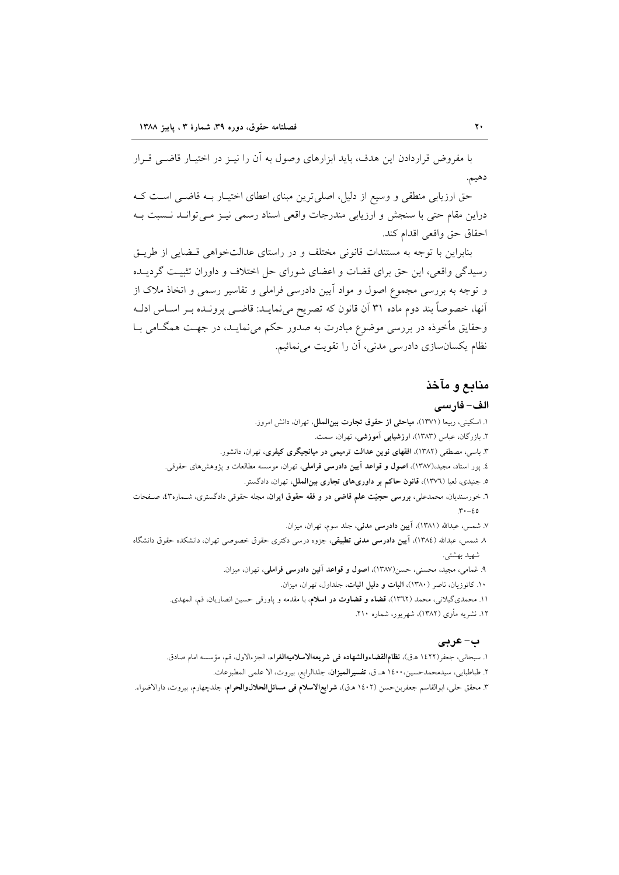با مفروض قراردادن این هدف، باید ابزارهای وصول به آن را نیـز در اختیـار قاضـی قـرار دهيم.

حق ارزیابی منطقی و وسیع از دلیل، اصلی ترین مبنای اعطای اختیـار بــه قاضــ اسـت کــه دراین مقام حتی با سنجش و ارزیابی مندرجات واقعی اسناد رسمی نیـز مـیتوانـد نـسبت بـه احقاق حق واقعي اقدام كند.

بنابراین با توجه به مستندات قانونی مختلف و در راستای عدالتخواهی قبضایی از طریـق رسیدگی واقعی، این حق برای قضات و اعضای شورای حل اختلاف و داوران تثبیت گردیــده و توجه به بررسی مجموع اصول و مواد اّیین دادرسی فراملی و تفاسیر رسمی و اتخاذ ملاک از أنها، خصوصاً بند دوم ماده ٣١ أن قانون كه تصريح ميiمايــد: قاضــي پرونــده بــر اســاس ادلــه وحقایق مأخوذه در بررسی موضوع مبادرت به صدور حکم می نمایـد، در جهـت همگــامی بــا نظام یکسانسازی دادرسی مدنی، آن را تقویت می نمائیم.

## منابع و مآخذ

### الف- فارسى

١. اسكيني، ربيعا (١٣٧١)، مباحثي از حقوق تجارت بين الملل، تهران، دانش امروز. ۲. بازرگان، عباس (۱۳۸۳)، ارزشیابی آموزشی، تهران، سمت. ۳. باسی، مصطفی (۱۳۸۲)، افقهای نوین عدالت ترمیمی در میانجیگری کیفری، تهران، دانشور. ٤. پور استاد، مجید،(١٣٨٧)، اصول و قواعد آیین دادرسی فراملی، تهران، موسسه مطالعات و پژوهشهای حقوقی. ٥. جنيدي، لعيا (١٣٧٦)، قانون حاكم بر داوريهاي تجاري بين الملل، تهران، دادگستر. ٦. خورسندیان، محمدعلی، بررسی حجیّت علم قاضی در و فقه حقوق ایران، مجله حقوقی دادگستری، شـماره۵۳، صـفحات  $\mathbf{r} \cdot -\epsilon \circ$ ۷. شمس، عبدالله (۱۳۸۱)، <mark>آیین دادرسی مدنی،</mark> جلد سوم، تهران، میزان. ۸ شمس، عبدالله (۱۳۸٤)، آ**بین دادرسی مدنی تطبیقی**، جزوه درسی دکتری حقوق خصوصی تهران، دانشکده حقوق دانشگاه شهيد بهشتي. ٩. غمامي، مجيد، محسني، حسن(١٣٨٧)، اصول و قواعد آئين دادرسي فراملي، تهران، ميزان.

۱۰. کاتوزیان، ناصر (۱۳۸۰)، اثبات و دلیل اثبات، جلداول، تهران، میزان.

۱۱. محمدیگیلانی، محمد (۱۳۹۲)، قضاء و قضاوت در اسلام، با مقدمه و پاورقی حسین انصاریان، قم، المهدی. ۱۲. نشریه مأوی (۱۳۸۲)، شهریور، شماره ۲۱۰.

### ب-عربي

۱. سبحانی، جعفر(۱٤۲۲ ه.ق)، **نظامالقضاءوالشهاده فی شریعهالاسلامیهالغراء**، الجزءالاول، قم، مؤسسه امام صادق.

٢. طباطبايي، سيدمحمدحسين،١٤٠٠ هـ ق، تفسيرالميزان، جلدالرابع، بيروت، الا علمي المطبوعات.

٣. محقق حلي، ابوالقاسم جعفربن-حسن (١٤٠٢ هـق)، **شرايع الاسلام في مسائل الحلال والحرام**، جلدچهارم، بيروت، دارالاضواء.